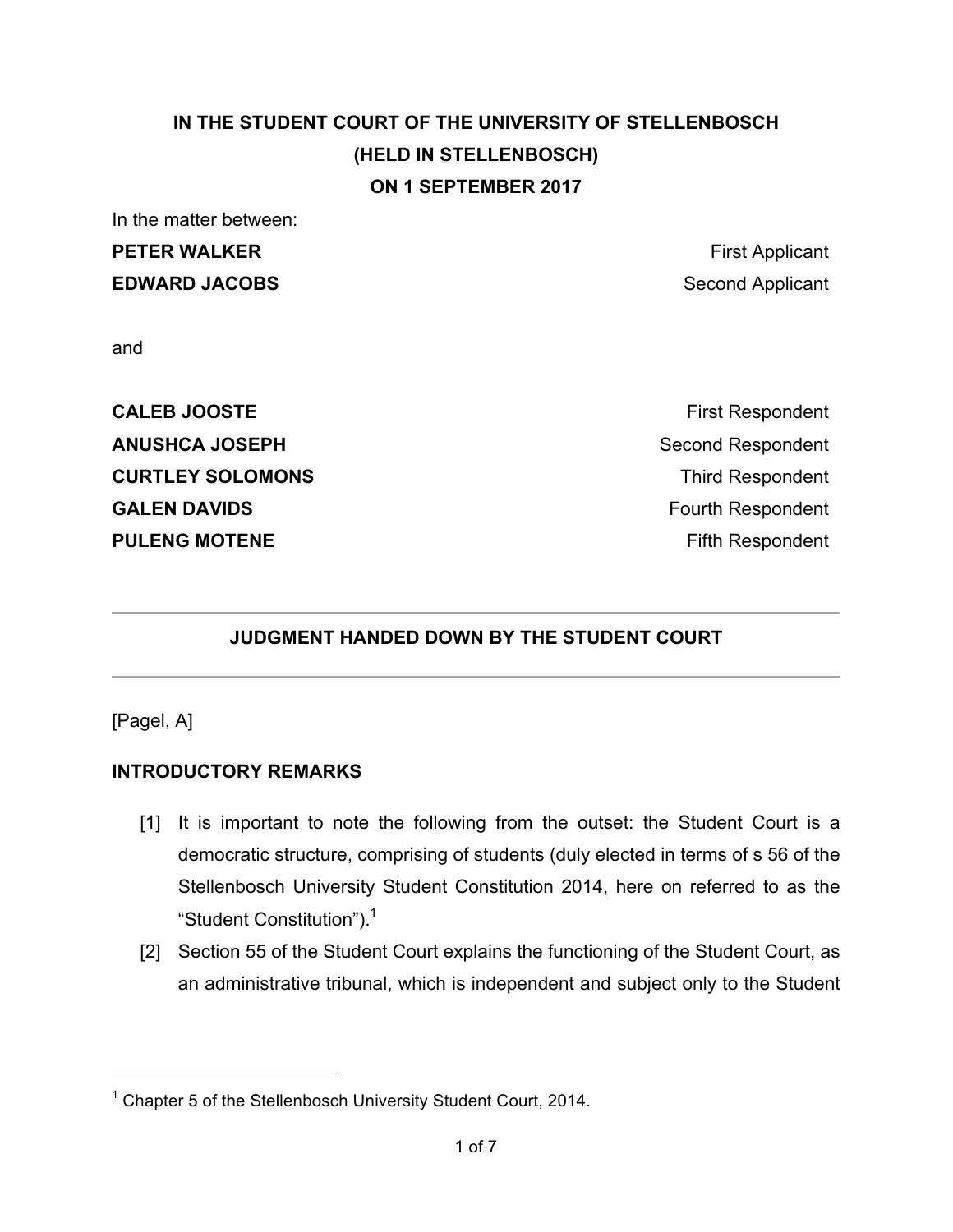# **IN THE STUDENT COURT OF THE UNIVERSITY OF STELLENBOSCH (HELD IN STELLENBOSCH) ON 1 SEPTEMBER 2017**

In the matter between:

# **PETER WALKER First Applicant EDWARD JACOBS** Second Applicant

and

**CALEB JOOSTE First Respondent ANUSHCA JOSEPH** Second Respondent **CURTLEY SOLOMONS CURTLEY SOLOMONS GALEN DAVIDS Fourth Respondent PULENG MOTENE Figure 1.1 And The PULENG MOTENE** 

# **JUDGMENT HANDED DOWN BY THE STUDENT COURT**

[Pagel, A]

 $\overline{a}$ 

### **INTRODUCTORY REMARKS**

- [1] It is important to note the following from the outset: the Student Court is a democratic structure, comprising of students (duly elected in terms of s 56 of the Stellenbosch University Student Constitution 2014, here on referred to as the "Student Constitution").<sup>1</sup>
- [2] Section 55 of the Student Court explains the functioning of the Student Court, as an administrative tribunal, which is independent and subject only to the Student

 $1$  Chapter 5 of the Stellenbosch University Student Court, 2014.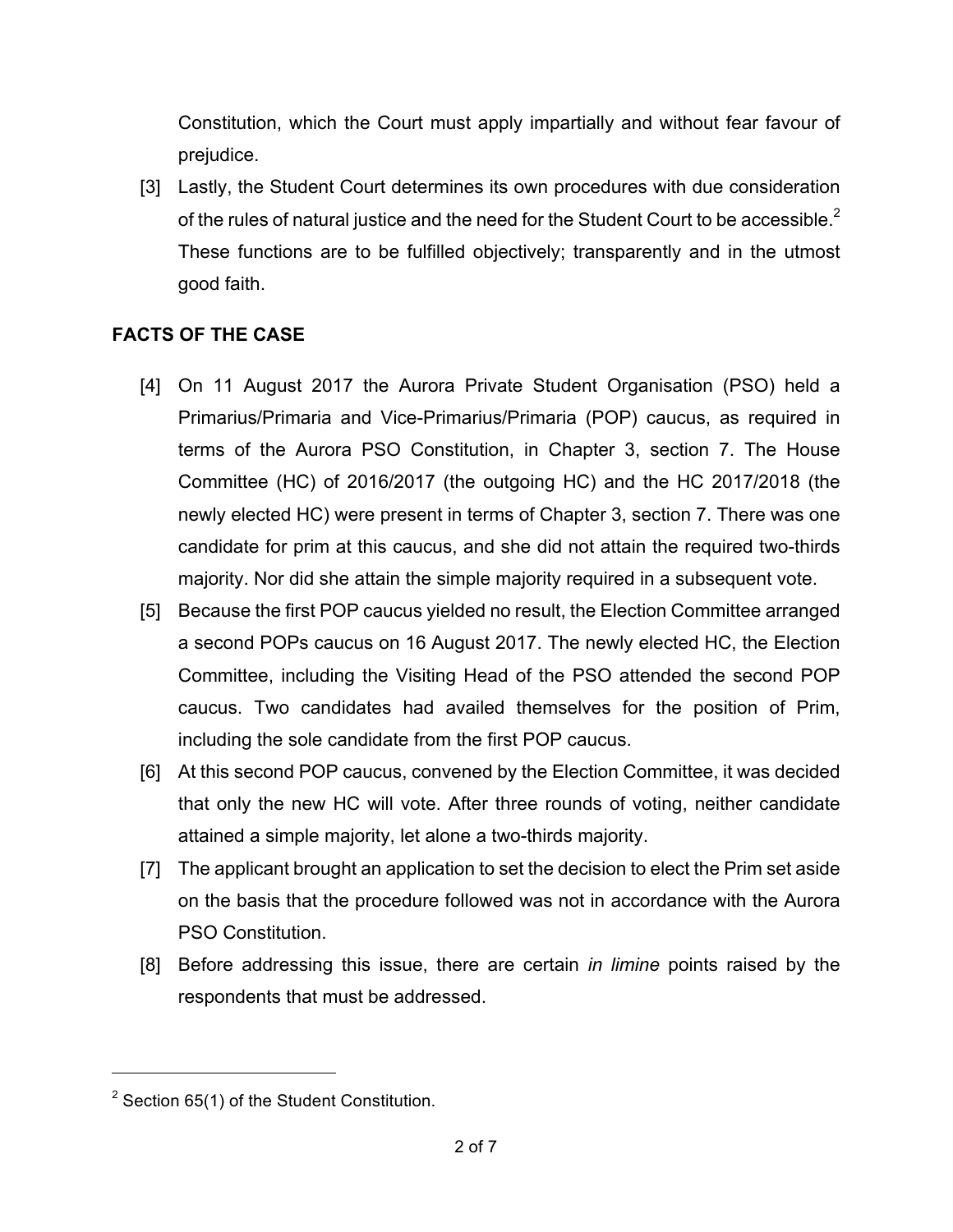Constitution, which the Court must apply impartially and without fear favour of prejudice.

[3] Lastly, the Student Court determines its own procedures with due consideration of the rules of natural justice and the need for the Student Court to be accessible.<sup>2</sup> These functions are to be fulfilled objectively; transparently and in the utmost good faith.

### **FACTS OF THE CASE**

- [4] On 11 August 2017 the Aurora Private Student Organisation (PSO) held a Primarius/Primaria and Vice-Primarius/Primaria (POP) caucus, as required in terms of the Aurora PSO Constitution, in Chapter 3, section 7. The House Committee (HC) of 2016/2017 (the outgoing HC) and the HC 2017/2018 (the newly elected HC) were present in terms of Chapter 3, section 7. There was one candidate for prim at this caucus, and she did not attain the required two-thirds majority. Nor did she attain the simple majority required in a subsequent vote.
- [5] Because the first POP caucus yielded no result, the Election Committee arranged a second POPs caucus on 16 August 2017. The newly elected HC, the Election Committee, including the Visiting Head of the PSO attended the second POP caucus. Two candidates had availed themselves for the position of Prim, including the sole candidate from the first POP caucus.
- [6] At this second POP caucus, convened by the Election Committee, it was decided that only the new HC will vote. After three rounds of voting, neither candidate attained a simple majority, let alone a two-thirds majority.
- [7] The applicant brought an application to set the decision to elect the Prim set aside on the basis that the procedure followed was not in accordance with the Aurora PSO Constitution.
- [8] Before addressing this issue, there are certain *in limine* points raised by the respondents that must be addressed.

 $\overline{a}$ 

 $2$  Section 65(1) of the Student Constitution.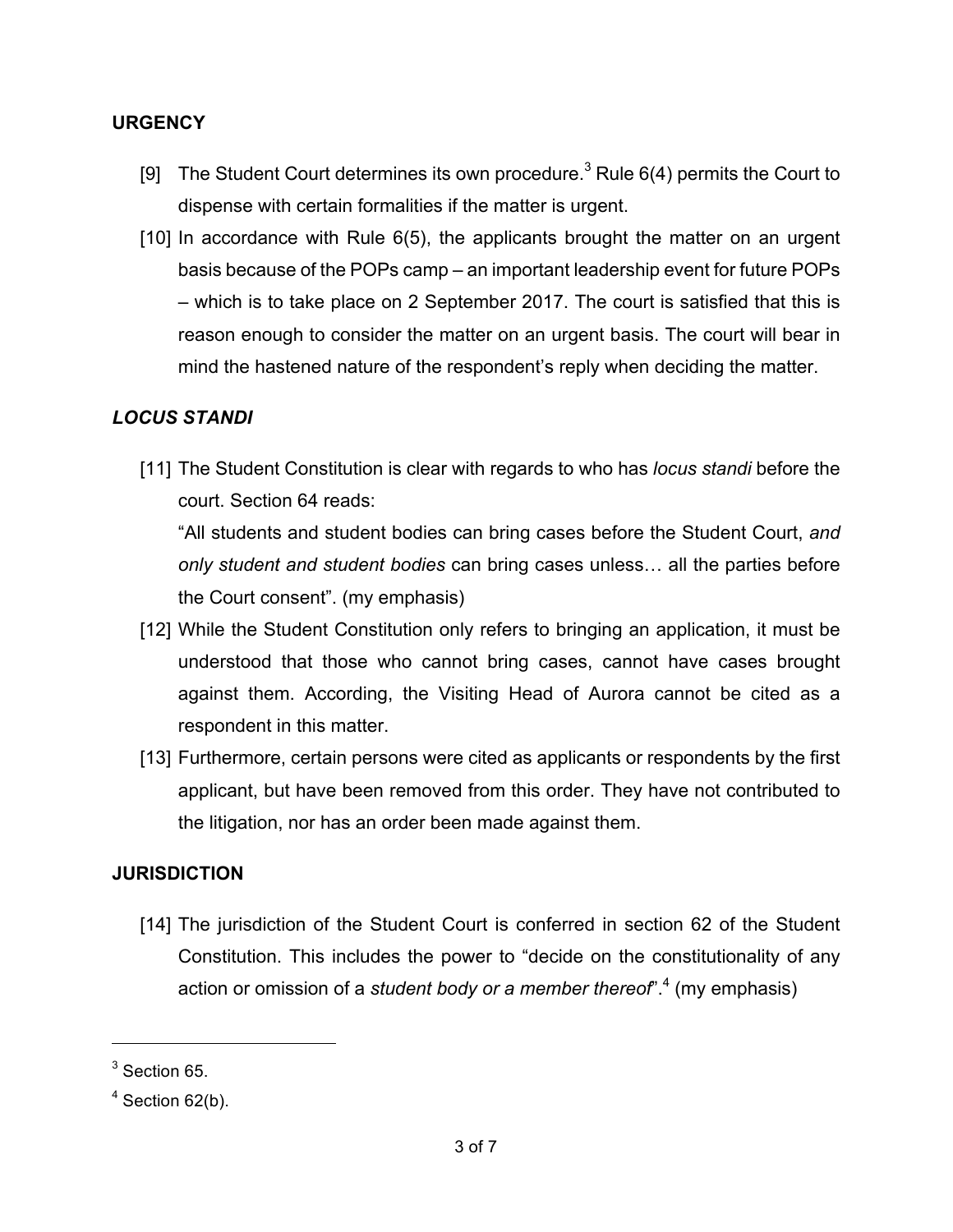#### **URGENCY**

- [9] The Student Court determines its own procedure.<sup>3</sup> Rule  $6(4)$  permits the Court to dispense with certain formalities if the matter is urgent.
- [10] In accordance with Rule 6(5), the applicants brought the matter on an urgent basis because of the POPs camp – an important leadership event for future POPs – which is to take place on 2 September 2017. The court is satisfied that this is reason enough to consider the matter on an urgent basis. The court will bear in mind the hastened nature of the respondent's reply when deciding the matter.

### *LOCUS STANDI*

[11] The Student Constitution is clear with regards to who has *locus standi* before the court. Section 64 reads:

"All students and student bodies can bring cases before the Student Court, *and only student and student bodies* can bring cases unless… all the parties before the Court consent". (my emphasis)

- [12] While the Student Constitution only refers to bringing an application, it must be understood that those who cannot bring cases, cannot have cases brought against them. According, the Visiting Head of Aurora cannot be cited as a respondent in this matter.
- [13] Furthermore, certain persons were cited as applicants or respondents by the first applicant, but have been removed from this order. They have not contributed to the litigation, nor has an order been made against them.

#### **JURISDICTION**

[14] The jurisdiction of the Student Court is conferred in section 62 of the Student Constitution. This includes the power to "decide on the constitutionality of any action or omission of a *student body or a member thereof*".4 (my emphasis)

<sup>&</sup>lt;sup>3</sup> Section 65.

 $4$  Section 62(b).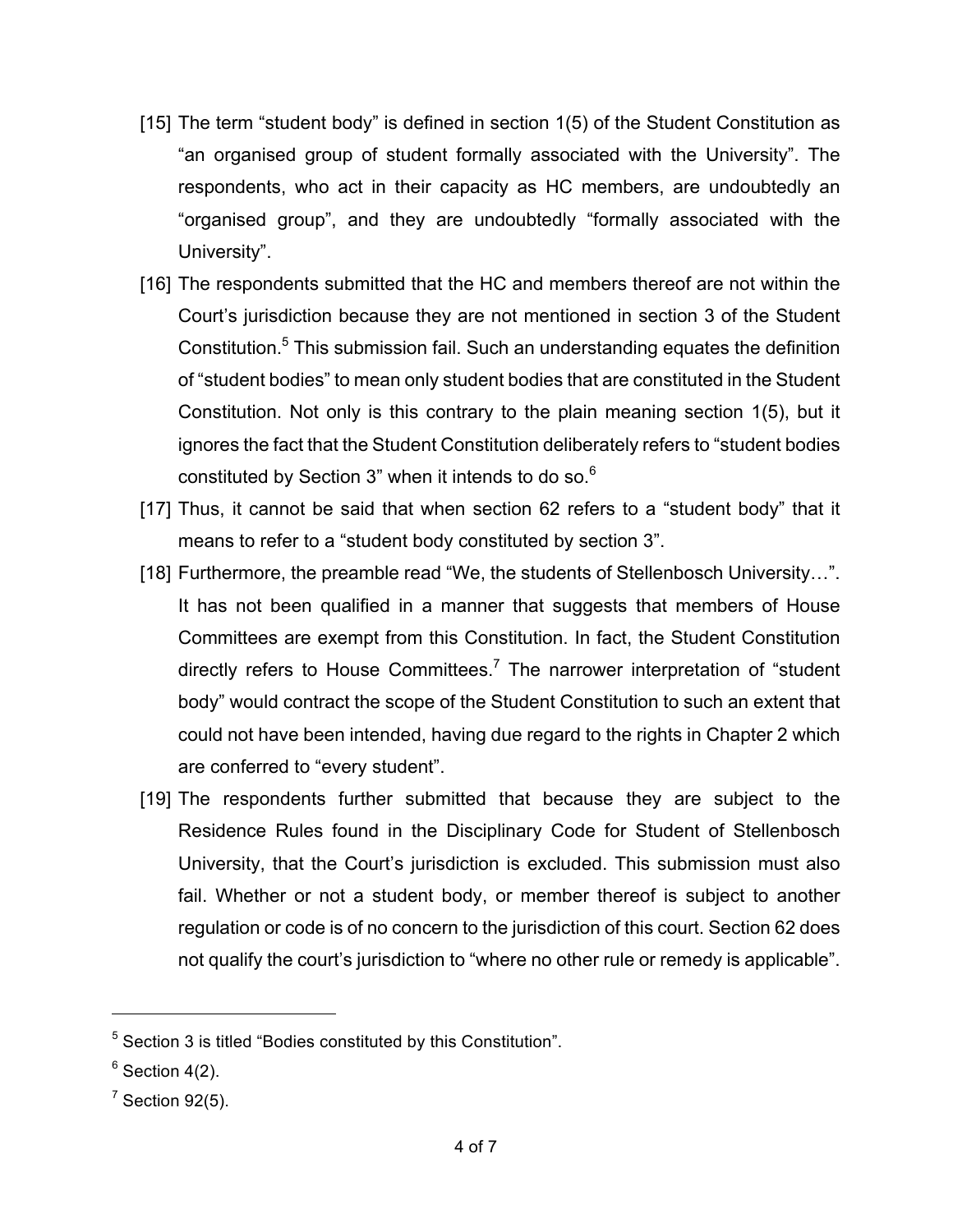- [15] The term "student body" is defined in section 1(5) of the Student Constitution as "an organised group of student formally associated with the University". The respondents, who act in their capacity as HC members, are undoubtedly an "organised group", and they are undoubtedly "formally associated with the University".
- [16] The respondents submitted that the HC and members thereof are not within the Court's jurisdiction because they are not mentioned in section 3 of the Student Constitution.<sup>5</sup> This submission fail. Such an understanding equates the definition of "student bodies" to mean only student bodies that are constituted in the Student Constitution. Not only is this contrary to the plain meaning section 1(5), but it ignores the fact that the Student Constitution deliberately refers to "student bodies constituted by Section 3" when it intends to do so.<sup>6</sup>
- [17] Thus, it cannot be said that when section 62 refers to a "student body" that it means to refer to a "student body constituted by section 3".
- [18] Furthermore, the preamble read "We, the students of Stellenbosch University…". It has not been qualified in a manner that suggests that members of House Committees are exempt from this Constitution. In fact, the Student Constitution directly refers to House Committees.<sup>7</sup> The narrower interpretation of "student body" would contract the scope of the Student Constitution to such an extent that could not have been intended, having due regard to the rights in Chapter 2 which are conferred to "every student".
- [19] The respondents further submitted that because they are subject to the Residence Rules found in the Disciplinary Code for Student of Stellenbosch University, that the Court's jurisdiction is excluded. This submission must also fail. Whether or not a student body, or member thereof is subject to another regulation or code is of no concern to the jurisdiction of this court. Section 62 does not qualify the court's jurisdiction to "where no other rule or remedy is applicable".

<sup>5</sup> Section 3 is titled "Bodies constituted by this Constitution".

 $6$  Section 4(2).

 $7$  Section 92(5).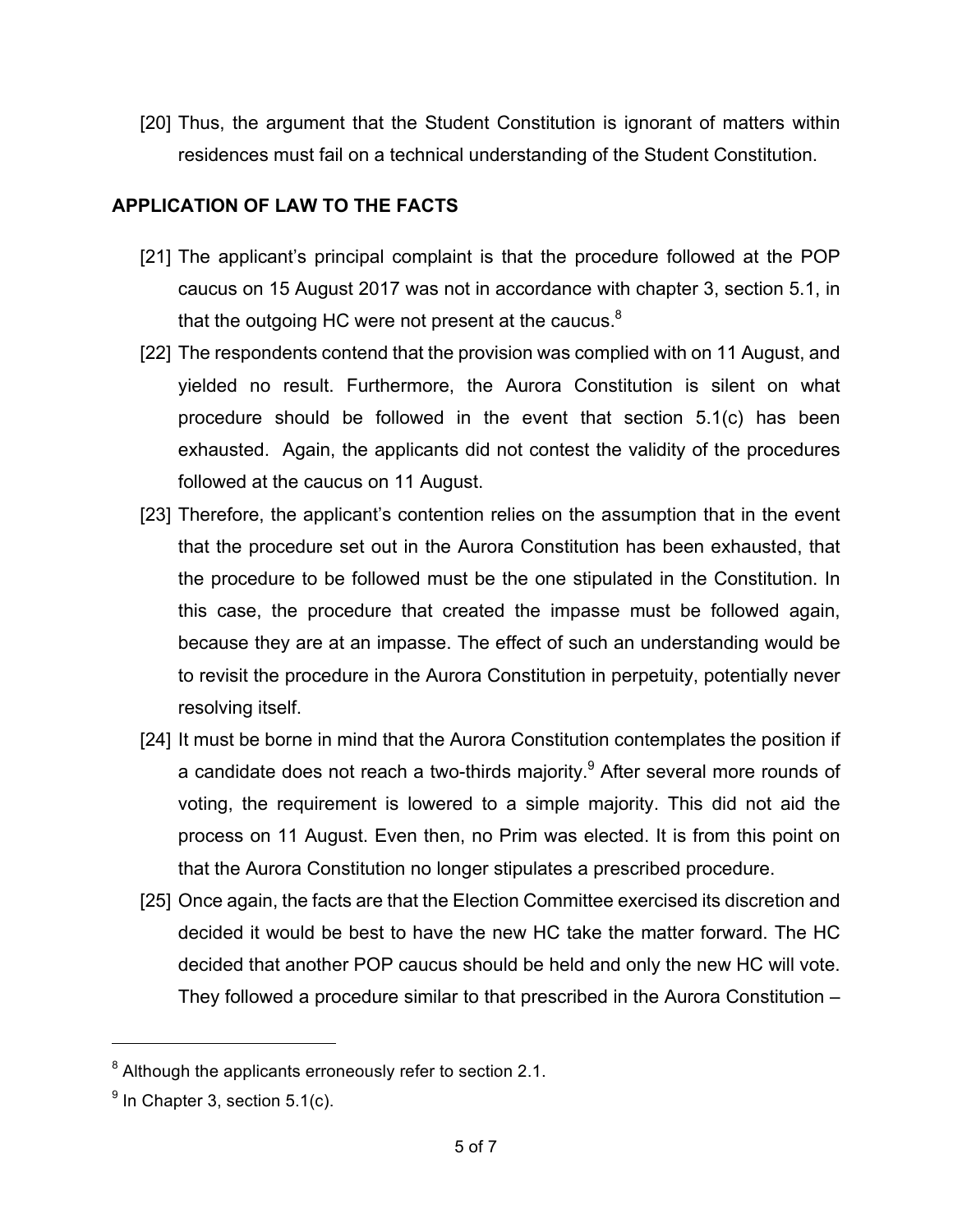[20] Thus, the argument that the Student Constitution is ignorant of matters within residences must fail on a technical understanding of the Student Constitution.

#### **APPLICATION OF LAW TO THE FACTS**

- [21] The applicant's principal complaint is that the procedure followed at the POP caucus on 15 August 2017 was not in accordance with chapter 3, section 5.1, in that the outgoing HC were not present at the caucus. $8$
- [22] The respondents contend that the provision was complied with on 11 August, and yielded no result. Furthermore, the Aurora Constitution is silent on what procedure should be followed in the event that section 5.1(c) has been exhausted. Again, the applicants did not contest the validity of the procedures followed at the caucus on 11 August.
- [23] Therefore, the applicant's contention relies on the assumption that in the event that the procedure set out in the Aurora Constitution has been exhausted, that the procedure to be followed must be the one stipulated in the Constitution. In this case, the procedure that created the impasse must be followed again, because they are at an impasse. The effect of such an understanding would be to revisit the procedure in the Aurora Constitution in perpetuity, potentially never resolving itself.
- [24] It must be borne in mind that the Aurora Constitution contemplates the position if a candidate does not reach a two-thirds majority. $9$  After several more rounds of voting, the requirement is lowered to a simple majority. This did not aid the process on 11 August. Even then, no Prim was elected. It is from this point on that the Aurora Constitution no longer stipulates a prescribed procedure.
- [25] Once again, the facts are that the Election Committee exercised its discretion and decided it would be best to have the new HC take the matter forward. The HC decided that another POP caucus should be held and only the new HC will vote. They followed a procedure similar to that prescribed in the Aurora Constitution –

 $8$  Although the applicants erroneously refer to section 2.1.

 $<sup>9</sup>$  In Chapter 3, section 5.1(c).</sup>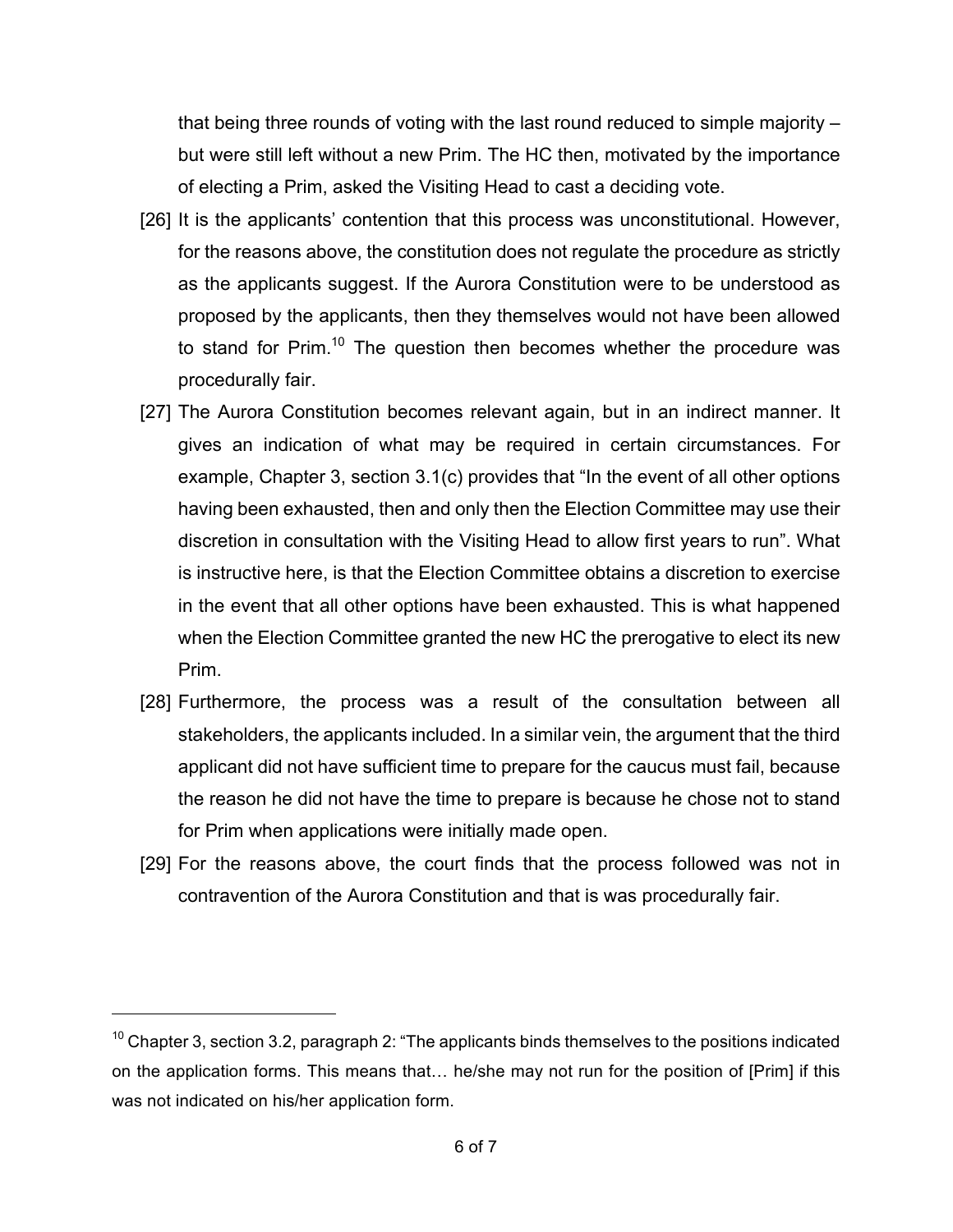that being three rounds of voting with the last round reduced to simple majority – but were still left without a new Prim. The HC then, motivated by the importance of electing a Prim, asked the Visiting Head to cast a deciding vote.

- [26] It is the applicants' contention that this process was unconstitutional. However, for the reasons above, the constitution does not regulate the procedure as strictly as the applicants suggest. If the Aurora Constitution were to be understood as proposed by the applicants, then they themselves would not have been allowed to stand for Prim.<sup>10</sup> The question then becomes whether the procedure was procedurally fair.
- [27] The Aurora Constitution becomes relevant again, but in an indirect manner. It gives an indication of what may be required in certain circumstances. For example, Chapter 3, section 3.1(c) provides that "In the event of all other options having been exhausted, then and only then the Election Committee may use their discretion in consultation with the Visiting Head to allow first years to run". What is instructive here, is that the Election Committee obtains a discretion to exercise in the event that all other options have been exhausted. This is what happened when the Election Committee granted the new HC the prerogative to elect its new Prim.
- [28] Furthermore, the process was a result of the consultation between all stakeholders, the applicants included. In a similar vein, the argument that the third applicant did not have sufficient time to prepare for the caucus must fail, because the reason he did not have the time to prepare is because he chose not to stand for Prim when applications were initially made open.
- [29] For the reasons above, the court finds that the process followed was not in contravention of the Aurora Constitution and that is was procedurally fair.

 $10$  Chapter 3, section 3.2, paragraph 2: "The applicants binds themselves to the positions indicated on the application forms. This means that… he/she may not run for the position of [Prim] if this was not indicated on his/her application form.